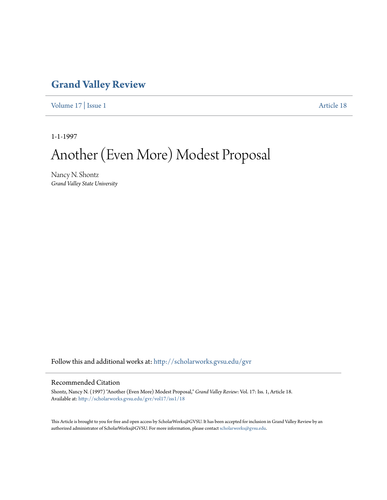### **[Grand Valley Review](http://scholarworks.gvsu.edu/gvr?utm_source=scholarworks.gvsu.edu%2Fgvr%2Fvol17%2Fiss1%2F18&utm_medium=PDF&utm_campaign=PDFCoverPages)**

[Volume 17](http://scholarworks.gvsu.edu/gvr/vol17?utm_source=scholarworks.gvsu.edu%2Fgvr%2Fvol17%2Fiss1%2F18&utm_medium=PDF&utm_campaign=PDFCoverPages) | [Issue 1](http://scholarworks.gvsu.edu/gvr/vol17/iss1?utm_source=scholarworks.gvsu.edu%2Fgvr%2Fvol17%2Fiss1%2F18&utm_medium=PDF&utm_campaign=PDFCoverPages) [Article 18](http://scholarworks.gvsu.edu/gvr/vol17/iss1/18?utm_source=scholarworks.gvsu.edu%2Fgvr%2Fvol17%2Fiss1%2F18&utm_medium=PDF&utm_campaign=PDFCoverPages)

1-1-1997

# Another (Even More) Modest Proposal

Nancy N. Shontz *Grand Valley State University*

Follow this and additional works at: [http://scholarworks.gvsu.edu/gvr](http://scholarworks.gvsu.edu/gvr?utm_source=scholarworks.gvsu.edu%2Fgvr%2Fvol17%2Fiss1%2F18&utm_medium=PDF&utm_campaign=PDFCoverPages)

### Recommended Citation

Shontz, Nancy N. (1997) "Another (Even More) Modest Proposal," *Grand Valley Review*: Vol. 17: Iss. 1, Article 18. Available at: [http://scholarworks.gvsu.edu/gvr/vol17/iss1/18](http://scholarworks.gvsu.edu/gvr/vol17/iss1/18?utm_source=scholarworks.gvsu.edu%2Fgvr%2Fvol17%2Fiss1%2F18&utm_medium=PDF&utm_campaign=PDFCoverPages)

This Article is brought to you for free and open access by ScholarWorks@GVSU. It has been accepted for inclusion in Grand Valley Review by an authorized administrator of ScholarWorks@GVSU. For more information, please contact [scholarworks@gvsu.edu.](mailto:scholarworks@gvsu.edu)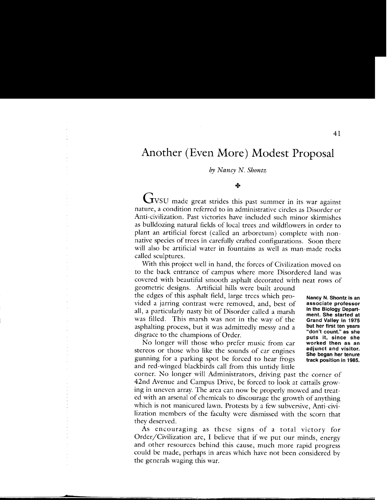## **Another (Even More) Modest Proposal**

#### *by Nancy* N. *Shontz*

#### $+$

GVSU made great strides this past summer in its war against nature, a condition referred to in administrative circles as Disorder or Anti-civilization. Past victories have included such minor skirmishes as bulldozing natural fields of local trees and wildflowers in order to plant an artificial forest (called an arboretum) complete with nonnative species of trees in carefully crafted configurations. Soon there will also be artificial water in fountains as well as man-made rocks called sculptures.

With this project well in hand, the forces of Civilization moved on to the back entrance of campus where more Disordered land was covered with beautiful smooth asphalt decorated with neat rows of

geometric designs. Artificial hills were built around the edges of this asphalt field, large trees which provided a jarring contrast were removed, and, best of all, a particularly nasty bit of Disorder called a marsh was filled. This marsh was not in the way of the asphalting process, but it was admittedly messy and a disgrace to the champions of Order.

No longer will those who prefer music from car stereos or those who like the sounds of car engines gunning for a parking spot be forced to hear frogs and red-winged blackbirds call from this untidy little **Nancy N. Shontz is an associate professor in the Biology Department. She started at Grand Valley in 1975 but her first ten years "don't count." as she puts it, since she worked then as an adjunct and visitor. She began her tenure track position in 1985.** 

corner. No longer will Administrators, driving past the corner of 42nd Avenue and Campus Drive, be forced to look at cattails growing in uneven array. The area can now be properly mowed and treated with an arsenal of chemicals to discourage the growth of anything which is not manicured lawn. Protests by a few subversive, Anti-civilization members of the faculty were dismissed with the scorn that they deserved.

As encouraging as these signs of a total victory for Order/Civilization are, I believe that if we put our minds, energy and other resources behind this cause, much more rapid progress could be made, perhaps in areas which have not been considered by the generals waging this war.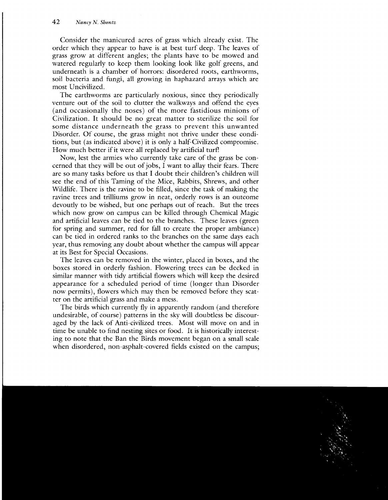Consider the manicured acres of grass which already exist. The order which they appear to have is at best turf deep. The leaves of grass grow at different angles; the plants have to be mowed and watered regularly to keep them looking look like golf greens, and underneath is a chamber of horrors: disordered roots, earthworms, soil bacteria and fungi, all growing in haphazard arrays which are most Uncivilized.

The earthworms are particularly noxious, since they periodically venture out of the soil to clutter the walkways and offend the eyes (and occasionally the noses) of the more fastidious minions of Civilization. It should be no great matter to sterilize the soil for some distance underneath the grass to prevent this unwanted Disorder. Of course, the grass might not thrive under these conditions, but (as indicated above) it is only a half-Civilized compromise. How much better if it were all replaced by artificial turf!

Now, lest the armies who currently take care of the grass be concerned that they will be out of jobs, I want to allay their fears. There are so many tasks before us that I doubt their children's children will see the end of this Taming of the Mice, Rabbits, Shrews, and other Wildlife. There is the ravine to be filled, since the task of making the ravine trees and trilliums grow in neat, orderly rows is an outcome devoutly to be wished, but one perhaps out of reach. But the trees which now grow on campus can be killed through Chemical Magic and artificial leaves can be tied to the branches. These leaves (green for spring and summer, red for fall to create the proper ambiance) can be tied in ordered ranks to the branches on the same days each year, thus removing any doubt about whether the campus will appear at its Best for Special Occasions.

The leaves can be removed in the winter, placed in boxes, and the boxes stored in orderly fashion. Flowering trees can be decked in similar manner with tidy artificial flowers which will keep the desired appearance for a scheduled period of time (longer than Disorder now permits), flowers which may then be removed before they scatter on the artificial grass and make a mess.

The birds which currently fly in apparently random (and therefore undesirable, of course) patterns in the sky will doubtless be discouraged by the lack of Anti-civilized trees. Most will move on and in time be unable to find nesting sites or food. It is historically interesting to note that the Ban the Birds movement began on a small scale when disordered, non-asphalt-covered fields existed on the campus;